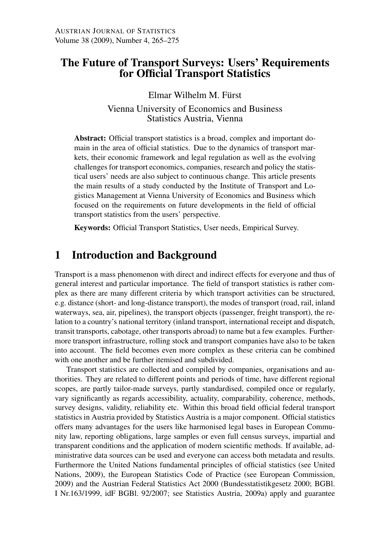# The Future of Transport Surveys: Users' Requirements for Official Transport Statistics

Elmar Wilhelm M. Fürst

Vienna University of Economics and Business Statistics Austria, Vienna

Abstract: Official transport statistics is a broad, complex and important domain in the area of official statistics. Due to the dynamics of transport markets, their economic framework and legal regulation as well as the evolving challenges for transport economics, companies, research and policy the statistical users' needs are also subject to continuous change. This article presents the main results of a study conducted by the Institute of Transport and Logistics Management at Vienna University of Economics and Business which focused on the requirements on future developments in the field of official transport statistics from the users' perspective.

Keywords: Official Transport Statistics, User needs, Empirical Survey.

# 1 Introduction and Background

Transport is a mass phenomenon with direct and indirect effects for everyone and thus of general interest and particular importance. The field of transport statistics is rather complex as there are many different criteria by which transport activities can be structured, e.g. distance (short- and long-distance transport), the modes of transport (road, rail, inland waterways, sea, air, pipelines), the transport objects (passenger, freight transport), the relation to a country's national territory (inland transport, international receipt and dispatch, transit transports, cabotage, other transports abroad) to name but a few examples. Furthermore transport infrastructure, rolling stock and transport companies have also to be taken into account. The field becomes even more complex as these criteria can be combined with one another and be further itemised and subdivided.

Transport statistics are collected and compiled by companies, organisations and authorities. They are related to different points and periods of time, have different regional scopes, are partly tailor-made surveys, partly standardised, compiled once or regularly, vary significantly as regards accessibility, actuality, comparability, coherence, methods, survey designs, validity, reliability etc. Within this broad field official federal transport statistics in Austria provided by Statistics Austria is a major component. Official statistics offers many advantages for the users like harmonised legal bases in European Community law, reporting obligations, large samples or even full census surveys, impartial and transparent conditions and the application of modern scientific methods. If available, administrative data sources can be used and everyone can access both metadata and results. Furthermore the United Nations fundamental principles of official statistics (see United Nations, 2009), the European Statistics Code of Practice (see European Commission, 2009) and the Austrian Federal Statistics Act 2000 (Bundesstatistikgesetz 2000; BGBl. I Nr.163/1999, idF BGBl. 92/2007; see Statistics Austria, 2009a) apply and guarantee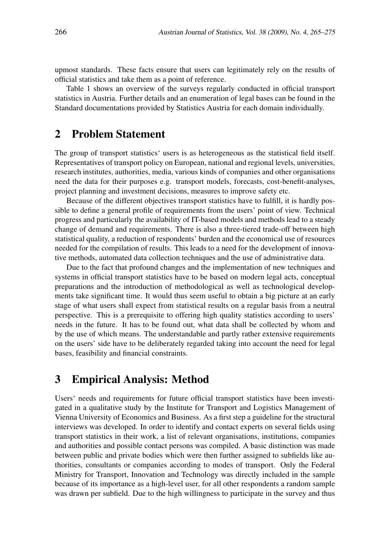upmost standards. These facts ensure that users can legitimately rely on the results of official statistics and take them as a point of reference.

Table 1 shows an overview of the surveys regularly conducted in official transport statistics in Austria. Further details and an enumeration of legal bases can be found in the Standard documentations provided by Statistics Austria for each domain individually.

#### 2 Problem Statement

The group of transport statistics' users is as heterogeneous as the statistical field itself. Representatives of transport policy on European, national and regional levels, universities, research institutes, authorities, media, various kinds of companies and other organisations need the data for their purposes e.g. transport models, forecasts, cost-benefit-analyses, project planning and investment decisions, measures to improve safety etc.

Because of the different objectives transport statistics have to fulfill, it is hardly possible to define a general profile of requirements from the users' point of view. Technical progress and particularly the availability of IT-based models and methods lead to a steady change of demand and requirements. There is also a three-tiered trade-off between high statistical quality, a reduction of respondents' burden and the economical use of resources needed for the compilation of results. This leads to a need for the development of innovative methods, automated data collection techniques and the use of administrative data.

Due to the fact that profound changes and the implementation of new techniques and systems in official transport statistics have to be based on modern legal acts, conceptual preparations and the introduction of methodological as well as technological developments take significant time. It would thus seem useful to obtain a big picture at an early stage of what users shall expect from statistical results on a regular basis from a neutral perspective. This is a prerequisite to offering high quality statistics according to users' needs in the future. It has to be found out, what data shall be collected by whom and by the use of which means. The understandable and partly rather extensive requirements on the users' side have to be deliberately regarded taking into account the need for legal bases, feasibility and financial constraints.

## 3 Empirical Analysis: Method

Users' needs and requirements for future official transport statistics have been investigated in a qualitative study by the Institute for Transport and Logistics Management of Vienna University of Economics and Business. As a first step a guideline for the structural interviews was developed. In order to identify and contact experts on several fields using transport statistics in their work, a list of relevant organisations, institutions, companies and authorities and possible contact persons was compiled. A basic distinction was made between public and private bodies which were then further assigned to subfields like authorities, consultants or companies according to modes of transport. Only the Federal Ministry for Transport, Innovation and Technology was directly included in the sample because of its importance as a high-level user, for all other respondents a random sample was drawn per subfield. Due to the high willingness to participate in the survey and thus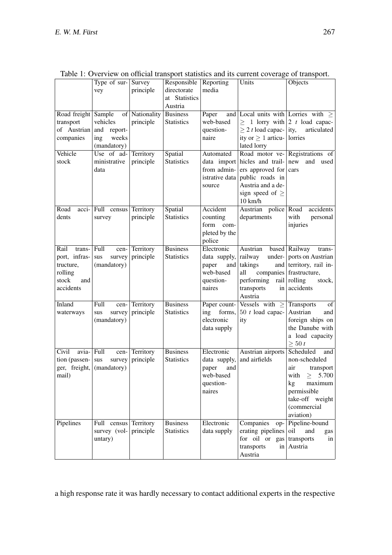|                     | Type of sur- $\vert$ Survey |                | Responsible   Reporting |                | Units                                    | Objects                             |
|---------------------|-----------------------------|----------------|-------------------------|----------------|------------------------------------------|-------------------------------------|
|                     | vey                         | principle      | directorate             | media          |                                          |                                     |
|                     |                             |                | at Statistics           |                |                                          |                                     |
|                     |                             |                | Austria                 |                |                                          |                                     |
| Road freight Sample |                             | of Nationality | <b>Business</b>         | Paper          | and Local units with Lorries with $\geq$ |                                     |
| transport           | vehicles                    | principle      | <b>Statistics</b>       | web-based      |                                          | $\geq 1$ lorry with 2 t load capac- |
| of Austrian         | and<br>report-              |                |                         | question-      | $\geq 2$ t load capac- ity,              | articulated                         |
| companies           | weeks<br>ing                |                |                         | naire          | ity or $\geq 1$ articu-                  | lorries                             |
|                     | (mandatory)                 |                |                         |                | lated lorry                              |                                     |
| Vehicle             | Use of ad-                  | Territory      | Spatial                 | Automated      |                                          | Road motor ve- Registrations of     |
| stock               | ministrative                | principle      | <b>Statistics</b>       |                | data import hicles and trail-            | new<br>and used                     |
|                     | data                        |                |                         | from admin-    | ers approved for                         | cars                                |
|                     |                             |                |                         | istrative data | public roads in                          |                                     |
|                     |                             |                |                         | source         | Austria and a de-                        |                                     |
|                     |                             |                |                         |                | sign speed of $\geq$                     |                                     |
|                     |                             |                |                         |                | $10$ km/h                                |                                     |
| Road                | $ Ru  $ census              | Territory      | Spatial                 | Accident       | Austrian<br>police Road                  | accidents                           |
| dents               | survey                      | principle      | <b>Statistics</b>       | counting       | departments                              | with<br>personal                    |
|                     |                             |                |                         | form<br>com-   |                                          | injuries                            |
|                     |                             |                |                         | pleted by the  |                                          |                                     |
|                     |                             |                |                         | police         |                                          |                                     |
| Rail<br>trans-      | <b>Full</b>                 |                | <b>Business</b>         | Electronic     | Austrian                                 | based   Railway                     |
|                     | cen-                        | Territory      | <b>Statistics</b>       |                |                                          | trans-<br>under- ports on Austrian  |
| port, infras-       | survey<br>sus               | principle      |                         | data supply,   | railway                                  |                                     |
| tructure,           | (mandatory)                 |                |                         | and<br>paper   | takings                                  | and territory, rail in-             |
| rolling             |                             |                |                         | web-based      | all                                      | companies frastructure,             |
| stock<br>and        |                             |                |                         | question-      | performing                               | rail $ $ rolling<br>stock,          |
| accidents           |                             |                |                         | naires         | transports<br>in                         | accidents                           |
|                     |                             |                |                         |                | Austria                                  |                                     |
| Inland              | Full<br>cen-                | Territory      | <b>Business</b>         |                | Paper count- Vessels with $\geq$         | Transports<br>of                    |
| waterways           | survey<br>sus               | principle      | <b>Statistics</b>       | forms,<br>ing  | $50$ t load capac-                       | Austrian<br>and                     |
|                     | (mandatory)                 |                |                         | electronic     | ity                                      | foreign ships on                    |
|                     |                             |                |                         | data supply    |                                          | the Danube with                     |
|                     |                             |                |                         |                |                                          | a load capacity                     |
|                     |                             |                |                         |                |                                          | $\geq 50$ t                         |
| Civil<br>avia-      | Full<br>cen-                | Territory      | <b>Business</b>         | Electronic     | Austrian airports                        | Scheduled<br>and                    |
| tion (passen-       | survey<br>$_{\rm sus}$      | principle      | <b>Statistics</b>       | data supply,   | and airfields                            | non-scheduled                       |
| ger, freight,       | (mandatory)                 |                |                         | and<br>paper   |                                          | air<br>transport                    |
| mail)               |                             |                |                         | web-based      |                                          | with $\geq 5.700$                   |
|                     |                             |                |                         | question-      |                                          | maximum<br>kg                       |
|                     |                             |                |                         | naires         |                                          | permissible                         |
|                     |                             |                |                         |                |                                          | take-off weight                     |
|                     |                             |                |                         |                |                                          | (commercial                         |
|                     |                             |                |                         |                |                                          | aviation)                           |
| Pipelines           | Full<br>census              | Territory      | <b>Business</b>         | Electronic     | Companies<br>op-                         | Pipeline-bound                      |
|                     | survey (vol-                | principle      | <b>Statistics</b>       | data supply    | erating pipelines                        | $ $ oil<br>and<br>gas               |
|                     | untary)                     |                |                         |                | for oil or $gas$ transports              | in                                  |
|                     |                             |                |                         |                | transports                               | in   Austria                        |
|                     |                             |                |                         |                | Austria                                  |                                     |

Table 1: Overview on official transport statistics and its current coverage of transport.

a high response rate it was hardly necessary to contact additional experts in the respective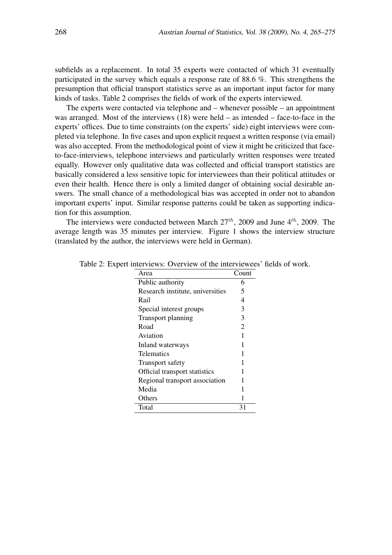subfields as a replacement. In total 35 experts were contacted of which 31 eventually participated in the survey which equals a response rate of 88.6 %. This strengthens the presumption that official transport statistics serve as an important input factor for many kinds of tasks. Table 2 comprises the fields of work of the experts interviewed.

The experts were contacted via telephone and – whenever possible – an appointment was arranged. Most of the interviews (18) were held – as intended – face-to-face in the experts' offices. Due to time constraints (on the experts' side) eight interviews were completed via telephone. In five cases and upon explicit request a written response (via email) was also accepted. From the methodological point of view it might be criticized that faceto-face-interviews, telephone interviews and particularly written responses were treated equally. However only qualitative data was collected and official transport statistics are basically considered a less sensitive topic for interviewees than their political attitudes or even their health. Hence there is only a limited danger of obtaining social desirable answers. The small chance of a methodological bias was accepted in order not to abandon important experts' input. Similar response patterns could be taken as supporting indication for this assumption.

The interviews were conducted between March  $27<sup>th</sup>$ , 2009 and June  $4<sup>th</sup>$ , 2009. The average length was 35 minutes per interview. Figure 1 shows the interview structure (translated by the author, the interviews were held in German).

| Area                             | Count          |
|----------------------------------|----------------|
| Public authority                 | 6              |
| Research institute, universities | 5              |
| Rail                             | 4              |
| Special interest groups          | 3              |
| Transport planning               | 3              |
| Road                             | $\overline{2}$ |
| Aviation                         | 1              |
| Inland waterways                 | 1              |
| Telematics                       | 1              |
| <b>Transport safety</b>          | 1              |
| Official transport statistics    | 1              |
| Regional transport association   | 1              |
| Media                            | 1              |
| Others                           |                |
| Total                            | 31             |

Table 2: Expert interviews: Overview of the interviewees' fields of work.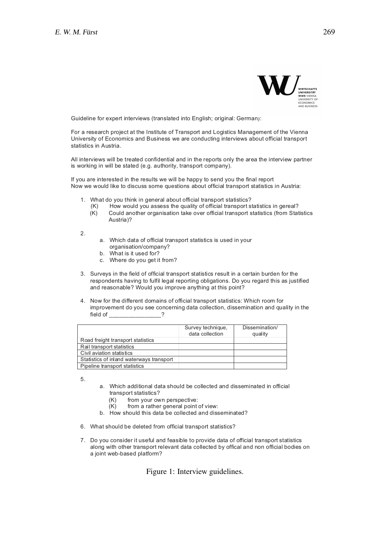

Guideline for expert interviews (translated into English; original: German):

For a research project at the Institute of Transport and Logistics Management of the Vienna University of Economics and Business we are conducting interviews about official transport statistics in Austria.

All interviews will be treated confidential and in the reports only the area the interview partner is working in will be stated (e.g. authority, transport company).

If you are interested in the results we will be happy to send you the final report Now we would like to discuss some questions about official transport statistics in Austria:

- 1. What do you think in general about official transport statistics?
	- (K) How would you assess the quality of official transport statistics in gereal?
	- (K) Could another organisation take over official transport statistics (from Statistics Austria)?

2.

- a. Which data of official transport statistics is used in your organisation/company?
- b. What is it used for?
- c. Where do you get it from?
- 3. Surveys in the field of official transport statistics result in a certain burden for the respondents having to fulfil legal reporting obligations. Do you regard this as justified and reasonable? Would you improve anything at this point?
- 4. Now for the different domains of official transport statistics: Which room for improvement do you see concerning data collection, dissemination and quality in the field of

|                                          | Survey technique,<br>data collection | Dissemination/<br>quality |
|------------------------------------------|--------------------------------------|---------------------------|
| Road freight transport statistics        |                                      |                           |
| Rail transport statistics                |                                      |                           |
| Civil aviation statistics                |                                      |                           |
| Statistics of inland waterways transport |                                      |                           |
| Pipeline transport statistics            |                                      |                           |

5.

- a. Which additional data should be collected and disseminated in official transport statistics?
	- (K) from your own perspective:
	- (K) from a rather general point of view:
- b. How should this data be collected and disseminated?
- 6. What should be deleted from official transport statistics?
- 7. Do you consider it useful and feasible to provide data of official transport statistics along with other transport relevant data collected by offical and non official bodies on a joint web-based platform?

Figure 1: Interview guidelines.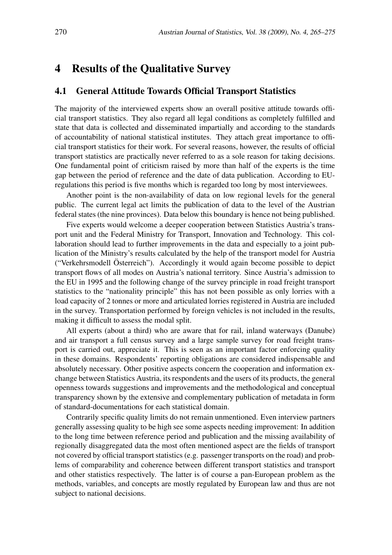# 4 Results of the Qualitative Survey

#### 4.1 General Attitude Towards Official Transport Statistics

The majority of the interviewed experts show an overall positive attitude towards official transport statistics. They also regard all legal conditions as completely fulfilled and state that data is collected and disseminated impartially and according to the standards of accountability of national statistical institutes. They attach great importance to official transport statistics for their work. For several reasons, however, the results of official transport statistics are practically never referred to as a sole reason for taking decisions. One fundamental point of criticism raised by more than half of the experts is the time gap between the period of reference and the date of data publication. According to EUregulations this period is five months which is regarded too long by most interviewees.

Another point is the non-availability of data on low regional levels for the general public. The current legal act limits the publication of data to the level of the Austrian federal states (the nine provinces). Data below this boundary is hence not being published.

Five experts would welcome a deeper cooperation between Statistics Austria's transport unit and the Federal Ministry for Transport, Innovation and Technology. This collaboration should lead to further improvements in the data and especially to a joint publication of the Ministry's results calculated by the help of the transport model for Austria ("Verkehrsmodell Osterreich"). Accordingly it would again become possible to depict ¨ transport flows of all modes on Austria's national territory. Since Austria's admission to the EU in 1995 and the following change of the survey principle in road freight transport statistics to the "nationality principle" this has not been possible as only lorries with a load capacity of 2 tonnes or more and articulated lorries registered in Austria are included in the survey. Transportation performed by foreign vehicles is not included in the results, making it difficult to assess the modal split.

All experts (about a third) who are aware that for rail, inland waterways (Danube) and air transport a full census survey and a large sample survey for road freight transport is carried out, appreciate it. This is seen as an important factor enforcing quality in these domains. Respondents' reporting obligations are considered indispensable and absolutely necessary. Other positive aspects concern the cooperation and information exchange between Statistics Austria, its respondents and the users of its products, the general openness towards suggestions and improvements and the methodological and conceptual transparency shown by the extensive and complementary publication of metadata in form of standard-documentations for each statistical domain.

Contrarily specific quality limits do not remain unmentioned. Even interview partners generally assessing quality to be high see some aspects needing improvement: In addition to the long time between reference period and publication and the missing availability of regionally disaggregated data the most often mentioned aspect are the fields of transport not covered by official transport statistics (e.g. passenger transports on the road) and problems of comparability and coherence between different transport statistics and transport and other statistics respectively. The latter is of course a pan-European problem as the methods, variables, and concepts are mostly regulated by European law and thus are not subject to national decisions.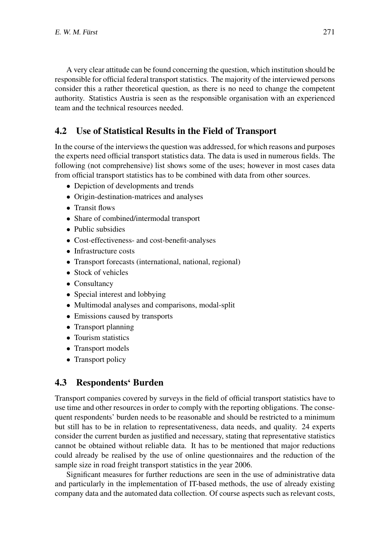A very clear attitude can be found concerning the question, which institution should be responsible for official federal transport statistics. The majority of the interviewed persons consider this a rather theoretical question, as there is no need to change the competent authority. Statistics Austria is seen as the responsible organisation with an experienced team and the technical resources needed.

# 4.2 Use of Statistical Results in the Field of Transport

In the course of the interviews the question was addressed, for which reasons and purposes the experts need official transport statistics data. The data is used in numerous fields. The following (not comprehensive) list shows some of the uses; however in most cases data from official transport statistics has to be combined with data from other sources.

- Depiction of developments and trends
- Origin-destination-matrices and analyses
- Transit flows
- Share of combined/intermodal transport
- Public subsidies
- Cost-effectiveness- and cost-benefit-analyses
- Infrastructure costs
- Transport forecasts (international, national, regional)
- Stock of vehicles
- Consultancy
- Special interest and lobbying
- Multimodal analyses and comparisons, modal-split
- Emissions caused by transports
- Transport planning
- Tourism statistics
- Transport models
- Transport policy

## 4.3 Respondents' Burden

Transport companies covered by surveys in the field of official transport statistics have to use time and other resources in order to comply with the reporting obligations. The consequent respondents' burden needs to be reasonable and should be restricted to a minimum but still has to be in relation to representativeness, data needs, and quality. 24 experts consider the current burden as justified and necessary, stating that representative statistics cannot be obtained without reliable data. It has to be mentioned that major reductions could already be realised by the use of online questionnaires and the reduction of the sample size in road freight transport statistics in the year 2006.

Significant measures for further reductions are seen in the use of administrative data and particularly in the implementation of IT-based methods, the use of already existing company data and the automated data collection. Of course aspects such as relevant costs,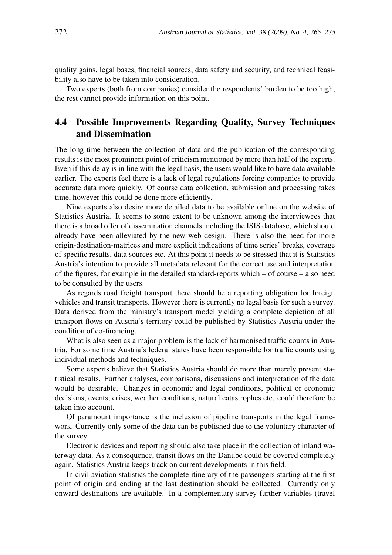quality gains, legal bases, financial sources, data safety and security, and technical feasibility also have to be taken into consideration.

Two experts (both from companies) consider the respondents' burden to be too high, the rest cannot provide information on this point.

#### 4.4 Possible Improvements Regarding Quality, Survey Techniques and Dissemination

The long time between the collection of data and the publication of the corresponding results is the most prominent point of criticism mentioned by more than half of the experts. Even if this delay is in line with the legal basis, the users would like to have data available earlier. The experts feel there is a lack of legal regulations forcing companies to provide accurate data more quickly. Of course data collection, submission and processing takes time, however this could be done more efficiently.

Nine experts also desire more detailed data to be available online on the website of Statistics Austria. It seems to some extent to be unknown among the interviewees that there is a broad offer of dissemination channels including the ISIS database, which should already have been alleviated by the new web design. There is also the need for more origin-destination-matrices and more explicit indications of time series' breaks, coverage of specific results, data sources etc. At this point it needs to be stressed that it is Statistics Austria's intention to provide all metadata relevant for the correct use and interpretation of the figures, for example in the detailed standard-reports which – of course – also need to be consulted by the users.

As regards road freight transport there should be a reporting obligation for foreign vehicles and transit transports. However there is currently no legal basis for such a survey. Data derived from the ministry's transport model yielding a complete depiction of all transport flows on Austria's territory could be published by Statistics Austria under the condition of co-financing.

What is also seen as a major problem is the lack of harmonised traffic counts in Austria. For some time Austria's federal states have been responsible for traffic counts using individual methods and techniques.

Some experts believe that Statistics Austria should do more than merely present statistical results. Further analyses, comparisons, discussions and interpretation of the data would be desirable. Changes in economic and legal conditions, political or economic decisions, events, crises, weather conditions, natural catastrophes etc. could therefore be taken into account.

Of paramount importance is the inclusion of pipeline transports in the legal framework. Currently only some of the data can be published due to the voluntary character of the survey.

Electronic devices and reporting should also take place in the collection of inland waterway data. As a consequence, transit flows on the Danube could be covered completely again. Statistics Austria keeps track on current developments in this field.

In civil aviation statistics the complete itinerary of the passengers starting at the first point of origin and ending at the last destination should be collected. Currently only onward destinations are available. In a complementary survey further variables (travel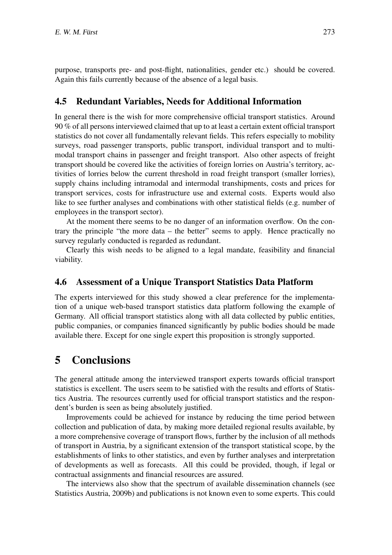purpose, transports pre- and post-flight, nationalities, gender etc.) should be covered. Again this fails currently because of the absence of a legal basis.

#### 4.5 Redundant Variables, Needs for Additional Information

In general there is the wish for more comprehensive official transport statistics. Around 90 % of all persons interviewed claimed that up to at least a certain extent official transport statistics do not cover all fundamentally relevant fields. This refers especially to mobility surveys, road passenger transports, public transport, individual transport and to multimodal transport chains in passenger and freight transport. Also other aspects of freight transport should be covered like the activities of foreign lorries on Austria's territory, activities of lorries below the current threshold in road freight transport (smaller lorries), supply chains including intramodal and intermodal transhipments, costs and prices for transport services, costs for infrastructure use and external costs. Experts would also like to see further analyses and combinations with other statistical fields (e.g. number of employees in the transport sector).

At the moment there seems to be no danger of an information overflow. On the contrary the principle "the more data – the better" seems to apply. Hence practically no survey regularly conducted is regarded as redundant.

Clearly this wish needs to be aligned to a legal mandate, feasibility and financial viability.

#### 4.6 Assessment of a Unique Transport Statistics Data Platform

The experts interviewed for this study showed a clear preference for the implementation of a unique web-based transport statistics data platform following the example of Germany. All official transport statistics along with all data collected by public entities, public companies, or companies financed significantly by public bodies should be made available there. Except for one single expert this proposition is strongly supported.

#### 5 Conclusions

The general attitude among the interviewed transport experts towards official transport statistics is excellent. The users seem to be satisfied with the results and efforts of Statistics Austria. The resources currently used for official transport statistics and the respondent's burden is seen as being absolutely justified.

Improvements could be achieved for instance by reducing the time period between collection and publication of data, by making more detailed regional results available, by a more comprehensive coverage of transport flows, further by the inclusion of all methods of transport in Austria, by a significant extension of the transport statistical scope, by the establishments of links to other statistics, and even by further analyses and interpretation of developments as well as forecasts. All this could be provided, though, if legal or contractual assignments and financial resources are assured.

The interviews also show that the spectrum of available dissemination channels (see Statistics Austria, 2009b) and publications is not known even to some experts. This could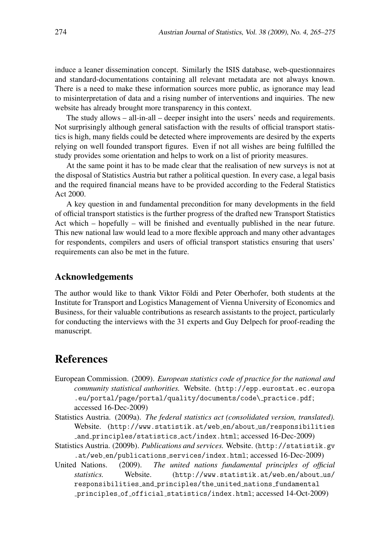induce a leaner dissemination concept. Similarly the ISIS database, web-questionnaires and standard-documentations containing all relevant metadata are not always known. There is a need to make these information sources more public, as ignorance may lead to misinterpretation of data and a rising number of interventions and inquiries. The new website has already brought more transparency in this context.

The study allows – all-in-all – deeper insight into the users' needs and requirements. Not surprisingly although general satisfaction with the results of official transport statistics is high, many fields could be detected where improvements are desired by the experts relying on well founded transport figures. Even if not all wishes are being fulfilled the study provides some orientation and helps to work on a list of priority measures.

At the same point it has to be made clear that the realisation of new surveys is not at the disposal of Statistics Austria but rather a political question. In every case, a legal basis and the required financial means have to be provided according to the Federal Statistics Act 2000.

A key question in and fundamental precondition for many developments in the field of official transport statistics is the further progress of the drafted new Transport Statistics Act which – hopefully – will be finished and eventually published in the near future. This new national law would lead to a more flexible approach and many other advantages for respondents, compilers and users of official transport statistics ensuring that users' requirements can also be met in the future.

#### Acknowledgements

The author would like to thank Viktor Földi and Peter Oberhofer, both students at the Institute for Transport and Logistics Management of Vienna University of Economics and Business, for their valuable contributions as research assistants to the project, particularly for conducting the interviews with the 31 experts and Guy Delpech for proof-reading the manuscript.

## References

- European Commission. (2009). *European statistics code of practice for the national and community statistical authorities.* Website. (http://epp.eurostat.ec.europa .eu/portal/page/portal/quality/documents/code\\_practice.pdf; accessed 16-Dec-2009)
- Statistics Austria. (2009a). *The federal statistics act (consolidated version, translated).* Website. (http://www.statistik.at/web\_en/about\_us/responsibilities and principles/statistics act/index.html; accessed 16-Dec-2009)
- Statistics Austria. (2009b). *Publications and services.* Website. (http://statistik.gv .at/web en/publications services/index.html; accessed 16-Dec-2009)
- United Nations. (2009). *The united nations fundamental principles of official statistics.* Website. (http://www.statistik.at/web\_en/about\_us/ responsibilities and principles/the united nations fundamental principles of official statistics/index.html; accessed 14-Oct-2009)